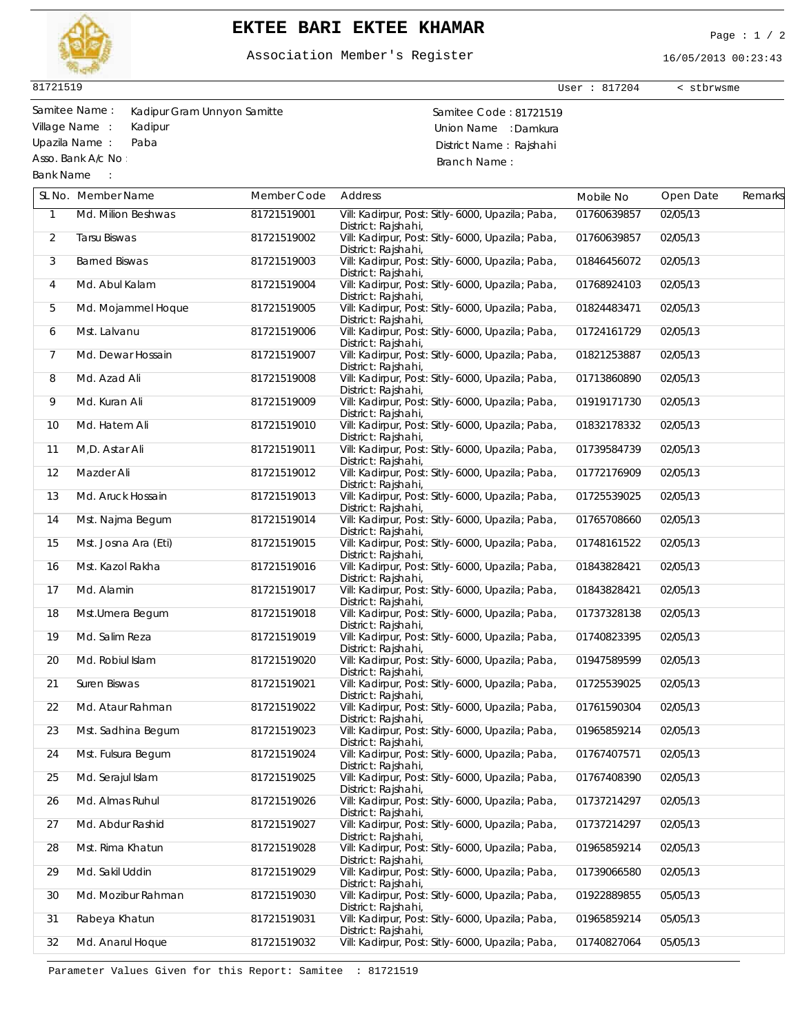

## **EKTEE BARI EKTEE KHAMAR** Page : 1 / 2

## Association Member's Register

16/05/2013 00:23:43

User : 817204 < stbrwsme

81721519

Asso. Bank A/c No :

Bank Name :

Samitee Name : Samitee Code : 81721519 Kadipur Gram Unnyon Samitte Village Name : Kadipur **Village Name : Kadipur** Union Name : Damkura Upazila Name : Paba District Name : Rajshahi Branch Name :

|                | SL No. Member Name            | Member Code | Address                                                                                      | Mobile No   | Open Date | Remarks |
|----------------|-------------------------------|-------------|----------------------------------------------------------------------------------------------|-------------|-----------|---------|
| $\mathbf{1}$   | Md. Milion Beshwas            | 81721519001 | Vill: Kadirpur, Post: Sitly-6000, Upazila; Paba,<br>District: Rajshahi,                      | 01760639857 | 02/05/13  |         |
| 2              | Tarsu Biswas                  | 81721519002 | Vill: Kadirpur, Post: Sitly-6000, Upazila; Paba,<br>District: Rajshahi,                      | 01760639857 | 02/05/13  |         |
| 3              | <b>Barned Biswas</b>          | 81721519003 | Vill: Kadirpur, Post: Sitly-6000, Upazila; Paba,<br>District: Rajshahi,                      | 01846456072 | 02/05/13  |         |
| 4              | Md. Abul Kalam                | 81721519004 | Vill: Kadirpur, Post: Sitly-6000, Upazila; Paba,<br>District: Rajshahi,                      | 01768924103 | 02/05/13  |         |
| 5              | Md. Mojammel Hoque            | 81721519005 | Vill: Kadirpur, Post: Sitly-6000, Upazila; Paba,<br>District: Rajshahi,                      | 01824483471 | 02/05/13  |         |
| 6              | Mst. Lalvanu                  | 81721519006 | Vill: Kadirpur, Post: Sitly-6000, Upazila; Paba,<br>District: Rajshahi,                      | 01724161729 | 02/05/13  |         |
| $\overline{7}$ | Md. Dewar Hossain             | 81721519007 | Vill: Kadirpur, Post: Sitly-6000, Upazila; Paba,<br>District: Rajshahi,                      | 01821253887 | 02/05/13  |         |
| 8              | Md. Azad Ali                  | 81721519008 | Vill: Kadirpur, Post: Sitly-6000, Upazila; Paba,<br>District: Rajshahi,                      | 01713860890 | 02/05/13  |         |
| 9              | Md. Kuran Ali                 | 81721519009 | Vill: Kadirpur, Post: Sitly-6000, Upazila; Paba,<br>District: Rajshahi,                      | 01919171730 | 02/05/13  |         |
| 10             | Md. Hatem Ali                 | 81721519010 | Vill: Kadirpur, Post: Sitly-6000, Upazila; Paba,<br>District: Rajshahi,                      | 01832178332 | 02/05/13  |         |
| 11             | M,D. Astar Ali                | 81721519011 | Vill: Kadirpur, Post: Sitly-6000, Upazila; Paba,<br>District: Rajshahi,                      | 01739584739 | 02/05/13  |         |
| 12             | Mazder Ali                    | 81721519012 | Vill: Kadirpur, Post: Sitly-6000, Upazila; Paba,<br>District: Rajshahi,                      | 01772176909 | 02/05/13  |         |
| 13             | Md. Aruck Hossain             | 81721519013 | Vill: Kadirpur, Post: Sitly-6000, Upazila; Paba,<br>District: Rajshahi,                      | 01725539025 | 02/05/13  |         |
| 14             | Mst. Najma Begum              | 81721519014 | Vill: Kadirpur, Post: Sitly-6000, Upazila; Paba,<br>District: Rajshahi,                      | 01765708660 | 02/05/13  |         |
| 15             | Mst. Josna Ara (Eti)          | 81721519015 | Vill: Kadirpur, Post: Sitly-6000, Upazila; Paba,<br>District: Rajshahi,                      | 01748161522 | 02/05/13  |         |
| 16             | Mst. Kazol Rakha              | 81721519016 | Vill: Kadirpur, Post: Sitly-6000, Upazila; Paba,<br>District: Rajshahi,                      | 01843828421 | 02/05/13  |         |
| 17             | Md. Alamin                    | 81721519017 | Vill: Kadirpur, Post: Sitly-6000, Upazila; Paba,<br>District: Rajshahi,                      | 01843828421 | 02/05/13  |         |
| 18             | Mst.Umera Begum               | 81721519018 | Vill: Kadirpur, Post: Sitly-6000, Upazila; Paba,<br>District: Rajshahi,                      | 01737328138 | 02/05/13  |         |
| 19             | Md. Salim Reza                | 81721519019 | Vill: Kadirpur, Post: Sitly-6000, Upazila; Paba,<br>District: Rajshahi,                      | 01740823395 | 02/05/13  |         |
| 20             | Md. Robiul Islam              | 81721519020 | Vill: Kadirpur, Post: Sitly-6000, Upazila; Paba,<br>District: Rajshahi,                      | 01947589599 | 02/05/13  |         |
| 21             | Suren Biswas                  | 81721519021 | Vill: Kadirpur, Post: Sitly-6000, Upazila; Paba,<br>District: Rajshahi,                      | 01725539025 | 02/05/13  |         |
| 22             | Md. Ataur Rahman              | 81721519022 | Vill: Kadirpur, Post: Sitly-6000, Upazila; Paba,<br>District: Rajshahi,                      | 01761590304 | 02/05/13  |         |
| 23             | Mst. Sadhina Begum            | 81721519023 | Vill: Kadirpur, Post: Sitly-6000, Upazila; Paba,<br>District: Rajshahi,                      | 01965859214 | 02/05/13  |         |
| 24             | Mst. Fulsura Begum            | 81721519024 | Vill: Kadirpur, Post: Sitly-6000, Upazila; Paba,<br>District: Rajshahi,                      | 01767407571 | 02/05/13  |         |
| 25             | Md. Serajul Islam 81721519025 |             | Vill: Kadirpur, Post: Sitly-6000, Upazila; Paba, 01767408390 02/05/13<br>District: Rajshahi, |             |           |         |
| 26             | Md. Almas Ruhul               | 81721519026 | Vill: Kadirpur, Post: Sitly-6000, Upazila; Paba,<br>District: Rajshahi,                      | 01737214297 | 02/05/13  |         |
| 27             | Md. Abdur Rashid              | 81721519027 | Vill: Kadirpur, Post: Sitly-6000, Upazila; Paba,<br>District: Rajshahi,                      | 01737214297 | 02/05/13  |         |
| 28             | Mst. Rima Khatun              | 81721519028 | Vill: Kadirpur, Post: Sitly-6000, Upazila; Paba,<br>District: Rajshahi,                      | 01965859214 | 02/05/13  |         |
| 29             | Md. Sakil Uddin               | 81721519029 | Vill: Kadirpur, Post: Sitly-6000, Upazila; Paba,<br>District: Rajshahi,                      | 01739066580 | 02/05/13  |         |
| 30             | Md. Mozibur Rahman            | 81721519030 | Vill: Kadirpur, Post: Sitly-6000, Upazila; Paba,<br>District: Rajshahi,                      | 01922889855 | 05/05/13  |         |
| 31             | Rabeya Khatun                 | 81721519031 | Vill: Kadirpur, Post: Sitly-6000, Upazila; Paba,<br>District: Rajshahi,                      | 01965859214 | 05/05/13  |         |
| 32             | Md. Anarul Hoque              | 81721519032 | Vill: Kadirpur, Post: Sitly-6000, Upazila; Paba,                                             | 01740827064 | 05/05/13  |         |